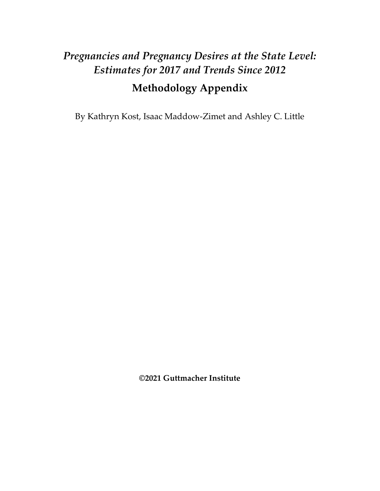# Pregnancies and Pregnancy Desires at the State Level: Estimates for 2017 and Trends Since 2012

# Methodology Appendix

By Kathryn Kost, Isaac Maddow-Zimet and Ashley C. Little

©2021 Guttmacher Institute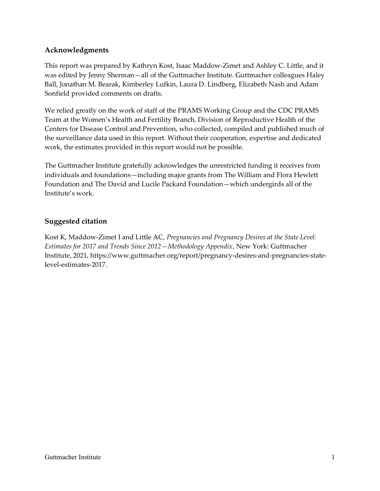## Acknowledgments

This report was prepared by Kathryn Kost, Isaac Maddow-Zimet and Ashley C. Little, and it was edited by Jenny Sherman—all of the Guttmacher Institute. Guttmacher colleagues Haley Ball, Jonathan M. Bearak, Kimberley Lufkin, Laura D. Lindberg, Elizabeth Nash and Adam Sonfield provided comments on drafts.

We relied greatly on the work of staff of the PRAMS Working Group and the CDC PRAMS Team at the Women's Health and Fertility Branch, Division of Reproductive Health of the Centers for Disease Control and Prevention, who collected, compiled and published much of the surveillance data used in this report. Without their cooperation, expertise and dedicated work, the estimates provided in this report would not be possible.

The Guttmacher Institute gratefully acknowledges the unrestricted funding it receives from individuals and foundations—including major grants from The William and Flora Hewlett Foundation and The David and Lucile Packard Foundation—which undergirds all of the Institute's work.

#### Suggested citation

Kost K, Maddow-Zimet I and Little AC, Pregnancies and Pregnancy Desires at the State Level: Estimates for 2017 and Trends Since 2012—Methodology Appendix, New York: Guttmacher Institute, 2021, https://www.guttmacher.org/report/pregnancy-desires-and-pregnancies-statelevel-estimates-2017.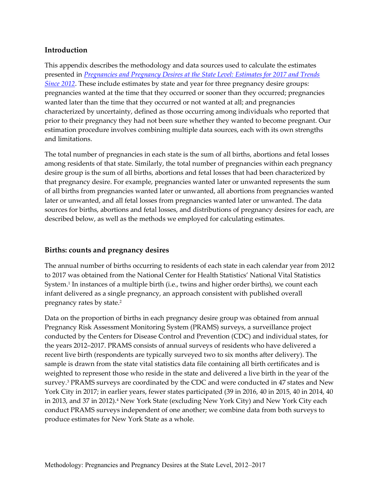#### Introduction

This appendix describes the methodology and data sources used to calculate the estimates presented in Pregnancies and Pregnancy Desires at the State Level: Estimates for 2017 and Trends Since 2012. These include estimates by state and year for three pregnancy desire groups: pregnancies wanted at the time that they occurred or sooner than they occurred; pregnancies wanted later than the time that they occurred or not wanted at all; and pregnancies characterized by uncertainty, defined as those occurring among individuals who reported that prior to their pregnancy they had not been sure whether they wanted to become pregnant. Our estimation procedure involves combining multiple data sources, each with its own strengths and limitations.

The total number of pregnancies in each state is the sum of all births, abortions and fetal losses among residents of that state. Similarly, the total number of pregnancies within each pregnancy desire group is the sum of all births, abortions and fetal losses that had been characterized by that pregnancy desire. For example, pregnancies wanted later or unwanted represents the sum of all births from pregnancies wanted later or unwanted, all abortions from pregnancies wanted later or unwanted, and all fetal losses from pregnancies wanted later or unwanted. The data sources for births, abortions and fetal losses, and distributions of pregnancy desires for each, are described below, as well as the methods we employed for calculating estimates.

## Births: counts and pregnancy desires

The annual number of births occurring to residents of each state in each calendar year from 2012 to 2017 was obtained from the National Center for Health Statistics' National Vital Statistics System.<sup>1</sup> In instances of a multiple birth (i.e., twins and higher order births), we count each infant delivered as a single pregnancy, an approach consistent with published overall pregnancy rates by state.<sup>2</sup>

Data on the proportion of births in each pregnancy desire group was obtained from annual Pregnancy Risk Assessment Monitoring System (PRAMS) surveys, a surveillance project conducted by the Centers for Disease Control and Prevention (CDC) and individual states, for the years 2012–2017. PRAMS consists of annual surveys of residents who have delivered a recent live birth (respondents are typically surveyed two to six months after delivery). The sample is drawn from the state vital statistics data file containing all birth certificates and is weighted to represent those who reside in the state and delivered a live birth in the year of the survey.<sup>3</sup> PRAMS surveys are coordinated by the CDC and were conducted in 47 states and New York City in 2017; in earlier years, fewer states participated (39 in 2016, 40 in 2015, 40 in 2014, 40 in 2013, and 37 in 2012).<sup>4</sup> New York State (excluding New York City) and New York City each conduct PRAMS surveys independent of one another; we combine data from both surveys to produce estimates for New York State as a whole.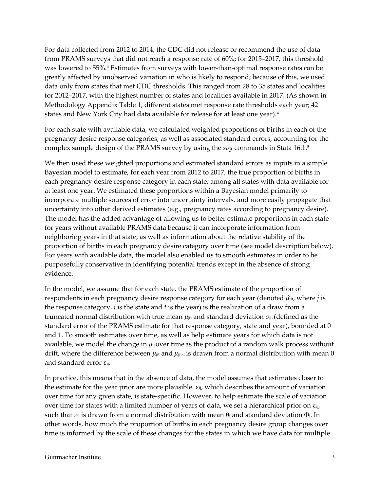For data collected from 2012 to 2014, the CDC did not release or recommend the use of data from PRAMS surveys that did not reach a response rate of 60%; for 2015–2017, this threshold was lowered to 55%.<sup>4</sup> Estimates from surveys with lower-than-optimal response rates can be greatly affected by unobserved variation in who is likely to respond; because of this, we used data only from states that met CDC thresholds. This ranged from 28 to 35 states and localities for 2012–2017, with the highest number of states and localities available in 2017. (As shown in Methodology Appendix Table 1, different states met response rate thresholds each year; 42 states and New York City had data available for release for at least one year).<sup>4</sup>

For each state with available data, we calculated weighted proportions of births in each of the pregnancy desire response categories, as well as associated standard errors, accounting for the complex sample design of the PRAMS survey by using the *svy* commands in Stata 16.1.<sup>5</sup>

We then used these weighted proportions and estimated standard errors as inputs in a simple Bayesian model to estimate, for each year from 2012 to 2017, the true proportion of births in each pregnancy desire response category in each state, among all states with data available for at least one year. We estimated these proportions within a Bayesian model primarily to incorporate multiple sources of error into uncertainty intervals, and more easily propagate that uncertainty into other derived estimates (e.g., pregnancy rates according to pregnancy desire). The model has the added advantage of allowing us to better estimate proportions in each state for years without available PRAMS data because it can incorporate information from neighboring years in that state, as well as information about the relative stability of the proportion of births in each pregnancy desire category over time (see model description below). For years with available data, the model also enabled us to smooth estimates in order to be purposefully conservative in identifying potential trends except in the absence of strong evidence.

In the model, we assume that for each state, the PRAMS estimate of the proportion of respondents in each pregnancy desire response category for each year (denoted  $\hat{\mu}_{it}$ , where *j* is the response category,  $i$  is the state and  $t$  is the year) is the realization of a draw from a truncated normal distribution with true mean  $\mu_{ij}$  and standard deviation  $\sigma_{ij}$ t (defined as the standard error of the PRAMS estimate for that response category, state and year), bounded at 0 and 1. To smooth estimates over time, as well as help estimate years for which data is not available, we model the change in  $\mu_{ij}$  over time as the product of a random walk process without drift, where the difference between  $\mu_{ji}$  and  $\mu_{ji+1}$  is drawn from a normal distribution with mean 0 and standard error εij.

In practice, this means that in the absence of data, the model assumes that estimates closer to the estimate for the year prior are more plausible. εij, which describes the amount of variation over time for any given state, is state-specific. However, to help estimate the scale of variation over time for states with a limited number of years of data, we set a hierarchical prior on  $\varepsilon_{ij}$ , such that  $\varepsilon_{ij}$  is drawn from a normal distribution with mean  $\theta_i$  and standard deviation  $\Phi_j$ . In other words, how much the proportion of births in each pregnancy desire group changes over time is informed by the scale of these changes for the states in which we have data for multiple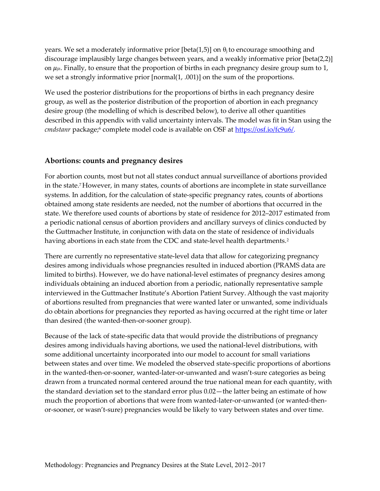years. We set a moderately informative prior [beta(1,5)] on  $\theta_i$  to encourage smoothing and discourage implausibly large changes between years, and a weakly informative prior [beta(2,2)] on  $\mu_{\text{jit}}$ . Finally, to ensure that the proportion of births in each pregnancy desire group sum to 1, we set a strongly informative prior [normal(1, .001)] on the sum of the proportions.

We used the posterior distributions for the proportions of births in each pregnancy desire group, as well as the posterior distribution of the proportion of abortion in each pregnancy desire group (the modelling of which is described below), to derive all other quantities described in this appendix with valid uncertainty intervals. The model was fit in Stan using the cmdstanr package;<sup>6</sup> complete model code is available on OSF at <u>https://osf.io/fc9u6/</u>.

#### Abortions: counts and pregnancy desires

For abortion counts, most but not all states conduct annual surveillance of abortions provided in the state.7 However, in many states, counts of abortions are incomplete in state surveillance systems. In addition, for the calculation of state-specific pregnancy rates, counts of abortions obtained among state residents are needed, not the number of abortions that occurred in the state. We therefore used counts of abortions by state of residence for 2012–2017 estimated from a periodic national census of abortion providers and ancillary surveys of clinics conducted by the Guttmacher Institute, in conjunction with data on the state of residence of individuals having abortions in each state from the CDC and state-level health departments.<sup>2</sup>

There are currently no representative state-level data that allow for categorizing pregnancy desires among individuals whose pregnancies resulted in induced abortion (PRAMS data are limited to births). However, we do have national-level estimates of pregnancy desires among individuals obtaining an induced abortion from a periodic, nationally representative sample interviewed in the Guttmacher Institute's Abortion Patient Survey. Although the vast majority of abortions resulted from pregnancies that were wanted later or unwanted, some individuals do obtain abortions for pregnancies they reported as having occurred at the right time or later than desired (the wanted-then-or-sooner group).

Because of the lack of state-specific data that would provide the distributions of pregnancy desires among individuals having abortions, we used the national-level distributions, with some additional uncertainty incorporated into our model to account for small variations between states and over time. We modeled the observed state-specific proportions of abortions in the wanted-then-or-sooner, wanted-later-or-unwanted and wasn't-sure categories as being drawn from a truncated normal centered around the true national mean for each quantity, with the standard deviation set to the standard error plus 0.02—the latter being an estimate of how much the proportion of abortions that were from wanted-later-or-unwanted (or wanted-thenor-sooner, or wasn't-sure) pregnancies would be likely to vary between states and over time.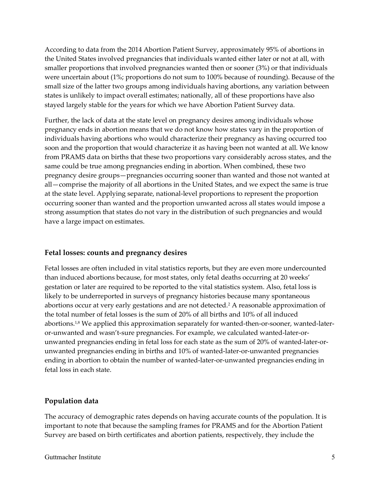According to data from the 2014 Abortion Patient Survey, approximately 95% of abortions in the United States involved pregnancies that individuals wanted either later or not at all, with smaller proportions that involved pregnancies wanted then or sooner (3%) or that individuals were uncertain about (1%; proportions do not sum to 100% because of rounding). Because of the small size of the latter two groups among individuals having abortions, any variation between states is unlikely to impact overall estimates; nationally, all of these proportions have also stayed largely stable for the years for which we have Abortion Patient Survey data.

Further, the lack of data at the state level on pregnancy desires among individuals whose pregnancy ends in abortion means that we do not know how states vary in the proportion of individuals having abortions who would characterize their pregnancy as having occurred too soon and the proportion that would characterize it as having been not wanted at all. We know from PRAMS data on births that these two proportions vary considerably across states, and the same could be true among pregnancies ending in abortion. When combined, these two pregnancy desire groups—pregnancies occurring sooner than wanted and those not wanted at all—comprise the majority of all abortions in the United States, and we expect the same is true at the state level. Applying separate, national-level proportions to represent the proportion occurring sooner than wanted and the proportion unwanted across all states would impose a strong assumption that states do not vary in the distribution of such pregnancies and would have a large impact on estimates.

#### Fetal losses: counts and pregnancy desires

Fetal losses are often included in vital statistics reports, but they are even more undercounted than induced abortions because, for most states, only fetal deaths occurring at 20 weeks' gestation or later are required to be reported to the vital statistics system. Also, fetal loss is likely to be underreported in surveys of pregnancy histories because many spontaneous abortions occur at very early gestations and are not detected.<sup>2</sup> A reasonable approximation of the total number of fetal losses is the sum of 20% of all births and 10% of all induced abortions.1,8 We applied this approximation separately for wanted-then-or-sooner, wanted-lateror-unwanted and wasn't-sure pregnancies. For example, we calculated wanted-later-orunwanted pregnancies ending in fetal loss for each state as the sum of 20% of wanted-later-orunwanted pregnancies ending in births and 10% of wanted-later-or-unwanted pregnancies ending in abortion to obtain the number of wanted-later-or-unwanted pregnancies ending in fetal loss in each state.

#### Population data

The accuracy of demographic rates depends on having accurate counts of the population. It is important to note that because the sampling frames for PRAMS and for the Abortion Patient Survey are based on birth certificates and abortion patients, respectively, they include the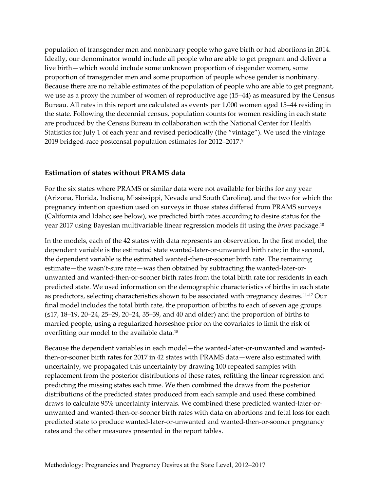population of transgender men and nonbinary people who gave birth or had abortions in 2014. Ideally, our denominator would include all people who are able to get pregnant and deliver a live birth—which would include some unknown proportion of cisgender women, some proportion of transgender men and some proportion of people whose gender is nonbinary. Because there are no reliable estimates of the population of people who are able to get pregnant, we use as a proxy the number of women of reproductive age (15–44) as measured by the Census Bureau. All rates in this report are calculated as events per 1,000 women aged 15–44 residing in the state. Following the decennial census, population counts for women residing in each state are produced by the Census Bureau in collaboration with the National Center for Health Statistics for July 1 of each year and revised periodically (the "vintage"). We used the vintage 2019 bridged-race postcensal population estimates for 2012–2017.<sup>9</sup>

#### Estimation of states without PRAMS data

For the six states where PRAMS or similar data were not available for births for any year (Arizona, Florida, Indiana, Mississippi, Nevada and South Carolina), and the two for which the pregnancy intention question used on surveys in those states differed from PRAMS surveys (California and Idaho; see below), we predicted birth rates according to desire status for the year 2017 using Bayesian multivariable linear regression models fit using the *brms* package.<sup>10</sup>

In the models, each of the 42 states with data represents an observation. In the first model, the dependent variable is the estimated state wanted-later-or-unwanted birth rate; in the second, the dependent variable is the estimated wanted-then-or-sooner birth rate. The remaining estimate—the wasn't-sure rate—was then obtained by subtracting the wanted-later-orunwanted and wanted-then-or-sooner birth rates from the total birth rate for residents in each predicted state. We used information on the demographic characteristics of births in each state as predictors, selecting characteristics shown to be associated with pregnancy desires.11–17 Our final model includes the total birth rate, the proportion of births to each of seven age groups (≤17, 18–19, 20–24, 25–29, 20–24, 35–39, and 40 and older) and the proportion of births to married people, using a regularized horseshoe prior on the covariates to limit the risk of overfitting our model to the available data.<sup>18</sup>

Because the dependent variables in each model—the wanted-later-or-unwanted and wantedthen-or-sooner birth rates for 2017 in 42 states with PRAMS data—were also estimated with uncertainty, we propagated this uncertainty by drawing 100 repeated samples with replacement from the posterior distributions of these rates, refitting the linear regression and predicting the missing states each time. We then combined the draws from the posterior distributions of the predicted states produced from each sample and used these combined draws to calculate 95% uncertainty intervals. We combined these predicted wanted-later-orunwanted and wanted-then-or-sooner birth rates with data on abortions and fetal loss for each predicted state to produce wanted-later-or-unwanted and wanted-then-or-sooner pregnancy rates and the other measures presented in the report tables.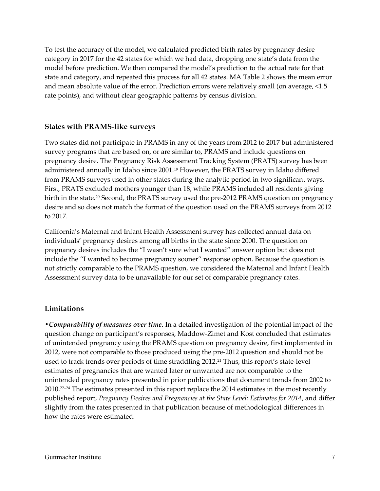To test the accuracy of the model, we calculated predicted birth rates by pregnancy desire category in 2017 for the 42 states for which we had data, dropping one state's data from the model before prediction. We then compared the model's prediction to the actual rate for that state and category, and repeated this process for all 42 states. MA Table 2 shows the mean error and mean absolute value of the error. Prediction errors were relatively small (on average, <1.5 rate points), and without clear geographic patterns by census division.

#### States with PRAMS-like surveys

Two states did not participate in PRAMS in any of the years from 2012 to 2017 but administered survey programs that are based on, or are similar to, PRAMS and include questions on pregnancy desire. The Pregnancy Risk Assessment Tracking System (PRATS) survey has been administered annually in Idaho since 2001.19 However, the PRATS survey in Idaho differed from PRAMS surveys used in other states during the analytic period in two significant ways. First, PRATS excluded mothers younger than 18, while PRAMS included all residents giving birth in the state.<sup>20</sup> Second, the PRATS survey used the pre-2012 PRAMS question on pregnancy desire and so does not match the format of the question used on the PRAMS surveys from 2012 to 2017.

California's Maternal and Infant Health Assessment survey has collected annual data on individuals' pregnancy desires among all births in the state since 2000. The question on pregnancy desires includes the "I wasn't sure what I wanted" answer option but does not include the "I wanted to become pregnancy sooner" response option. Because the question is not strictly comparable to the PRAMS question, we considered the Maternal and Infant Health Assessment survey data to be unavailable for our set of comparable pregnancy rates.

#### **Limitations**

• Comparability of measures over time. In a detailed investigation of the potential impact of the question change on participant's responses, Maddow-Zimet and Kost concluded that estimates of unintended pregnancy using the PRAMS question on pregnancy desire, first implemented in 2012, were not comparable to those produced using the pre-2012 question and should not be used to track trends over periods of time straddling 2012.<sup>21</sup> Thus, this report's state-level estimates of pregnancies that are wanted later or unwanted are not comparable to the unintended pregnancy rates presented in prior publications that document trends from 2002 to 2010.22–24 The estimates presented in this report replace the 2014 estimates in the most recently published report, Pregnancy Desires and Pregnancies at the State Level: Estimates for 2014, and differ slightly from the rates presented in that publication because of methodological differences in how the rates were estimated.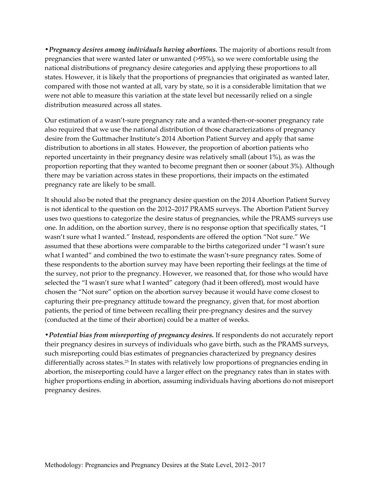• Pregnancy desires among individuals having abortions. The majority of abortions result from pregnancies that were wanted later or unwanted (>95%), so we were comfortable using the national distributions of pregnancy desire categories and applying these proportions to all states. However, it is likely that the proportions of pregnancies that originated as wanted later, compared with those not wanted at all, vary by state, so it is a considerable limitation that we were not able to measure this variation at the state level but necessarily relied on a single distribution measured across all states.

Our estimation of a wasn't-sure pregnancy rate and a wanted-then-or-sooner pregnancy rate also required that we use the national distribution of those characterizations of pregnancy desire from the Guttmacher Institute's 2014 Abortion Patient Survey and apply that same distribution to abortions in all states. However, the proportion of abortion patients who reported uncertainty in their pregnancy desire was relatively small (about 1%), as was the proportion reporting that they wanted to become pregnant then or sooner (about 3%). Although there may be variation across states in these proportions, their impacts on the estimated pregnancy rate are likely to be small.

It should also be noted that the pregnancy desire question on the 2014 Abortion Patient Survey is not identical to the question on the 2012–2017 PRAMS surveys. The Abortion Patient Survey uses two questions to categorize the desire status of pregnancies, while the PRAMS surveys use one. In addition, on the abortion survey, there is no response option that specifically states, "I wasn't sure what I wanted." Instead, respondents are offered the option "Not sure." We assumed that these abortions were comparable to the births categorized under "I wasn't sure what I wanted" and combined the two to estimate the wasn't-sure pregnancy rates. Some of these respondents to the abortion survey may have been reporting their feelings at the time of the survey, not prior to the pregnancy. However, we reasoned that, for those who would have selected the "I wasn't sure what I wanted" category (had it been offered), most would have chosen the "Not sure" option on the abortion survey because it would have come closest to capturing their pre-pregnancy attitude toward the pregnancy, given that, for most abortion patients, the period of time between recalling their pre-pregnancy desires and the survey (conducted at the time of their abortion) could be a matter of weeks.

• Potential bias from misreporting of pregnancy desires. If respondents do not accurately report their pregnancy desires in surveys of individuals who gave birth, such as the PRAMS surveys, such misreporting could bias estimates of pregnancies characterized by pregnancy desires differentially across states.25 In states with relatively low proportions of pregnancies ending in abortion, the misreporting could have a larger effect on the pregnancy rates than in states with higher proportions ending in abortion, assuming individuals having abortions do not misreport pregnancy desires.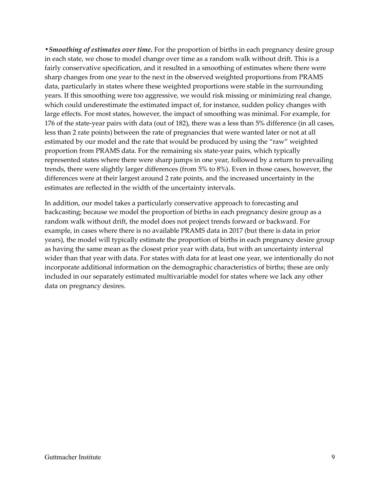• Smoothing of estimates over time. For the proportion of births in each pregnancy desire group in each state, we chose to model change over time as a random walk without drift. This is a fairly conservative specification, and it resulted in a smoothing of estimates where there were sharp changes from one year to the next in the observed weighted proportions from PRAMS data, particularly in states where these weighted proportions were stable in the surrounding years. If this smoothing were too aggressive, we would risk missing or minimizing real change, which could underestimate the estimated impact of, for instance, sudden policy changes with large effects. For most states, however, the impact of smoothing was minimal. For example, for 176 of the state-year pairs with data (out of 182), there was a less than 5% difference (in all cases, less than 2 rate points) between the rate of pregnancies that were wanted later or not at all estimated by our model and the rate that would be produced by using the "raw" weighted proportion from PRAMS data. For the remaining six state-year pairs, which typically represented states where there were sharp jumps in one year, followed by a return to prevailing trends, there were slightly larger differences (from 5% to 8%). Even in those cases, however, the differences were at their largest around 2 rate points, and the increased uncertainty in the estimates are reflected in the width of the uncertainty intervals.

In addition, our model takes a particularly conservative approach to forecasting and backcasting; because we model the proportion of births in each pregnancy desire group as a random walk without drift, the model does not project trends forward or backward. For example, in cases where there is no available PRAMS data in 2017 (but there is data in prior years), the model will typically estimate the proportion of births in each pregnancy desire group as having the same mean as the closest prior year with data, but with an uncertainty interval wider than that year with data. For states with data for at least one year, we intentionally do not incorporate additional information on the demographic characteristics of births; these are only included in our separately estimated multivariable model for states where we lack any other data on pregnancy desires.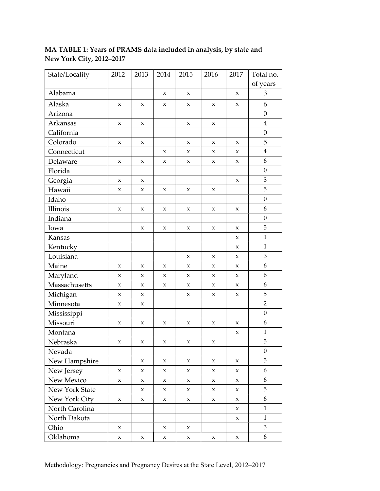# MA TABLE 1: Years of PRAMS data included in analysis, by state and New York City, 2012–2017

| State/Locality | 2012         | 2013        | 2014        | 2015         | 2016        | 2017        | Total no.        |
|----------------|--------------|-------------|-------------|--------------|-------------|-------------|------------------|
|                |              |             |             |              |             |             | of years         |
| Alabama        |              |             | X           | $\mathbf{x}$ |             | X           | 3                |
| Alaska         | X            | X           | X           | X            | $\mathsf X$ | $\mathsf X$ | 6                |
| Arizona        |              |             |             |              |             |             | $\boldsymbol{0}$ |
| Arkansas       | X            | X           |             | X            | $\mathsf X$ |             | $\overline{4}$   |
| California     |              |             |             |              |             |             | $\boldsymbol{0}$ |
| Colorado       | X            | X           |             | X            | X           | $\mathsf X$ | 5                |
| Connecticut    |              |             | X           | X            | X           | X           | $\overline{4}$   |
| Delaware       | X            | x           | x           | X            | $\mathsf X$ | X           | 6                |
| Florida        |              |             |             |              |             |             | $\boldsymbol{0}$ |
| Georgia        | X            | X           |             |              |             | X           | 3                |
| Hawaii         | X            | X           | X           | X            | X           |             | 5                |
| Idaho          |              |             |             |              |             |             | $\boldsymbol{0}$ |
| Illinois       | X            | X           | X           | X            | X           | X           | 6                |
| Indiana        |              |             |             |              |             |             | $\boldsymbol{0}$ |
| Iowa           |              | X           | X           | X            | $\mathsf X$ | $\mathsf X$ | 5                |
| Kansas         |              |             |             |              |             | X           | $\mathbf{1}$     |
| Kentucky       |              |             |             |              |             | X           | $\mathbf{1}$     |
| Louisiana      |              |             |             | X            | X           | X           | $\mathfrak{Z}$   |
| Maine          | X            | X           | X           | X            | $\mathsf X$ | X           | 6                |
| Maryland       | X            | X           | X           | X            | X           | X           | 6                |
| Massachusetts  | X            | X           | x           | X            | X           | X           | 6                |
| Michigan       | X            | X           |             | X            | X           | X           | $\mathbf 5$      |
| Minnesota      | X            | X           |             |              |             |             | $\overline{2}$   |
| Mississippi    |              |             |             |              |             |             | $\boldsymbol{0}$ |
| Missouri       | X            | x           | x           | X            | X           | X           | 6                |
| Montana        |              |             |             |              |             | X           | $\mathbf{1}$     |
| Nebraska       | X            | x           | X           | X            | X           |             | 5                |
| Nevada         |              |             |             |              |             |             | $\boldsymbol{0}$ |
| New Hampshire  |              | X           | X           | X            | X           | X           | 5                |
| New Jersey     | X            | X           | X           | X            | X           | X           | 6                |
| New Mexico     | X            | X           | X           | X            | X           | X           | 6                |
| New York State |              | X           | X           | $\mathbf x$  | X           | $\mathsf X$ | 5                |
| New York City  | $\mathbf{X}$ | $\mathsf X$ | $\mathsf X$ | $\mathbf x$  | $\mathbf x$ | $\mathsf X$ | 6                |
| North Carolina |              |             |             |              |             | X           | $\mathbf{1}$     |
| North Dakota   |              |             |             |              |             | X           | $\mathbf{1}$     |
| Ohio           | X            |             | X           | X            |             |             | 3                |
| Oklahoma       | $\mathbf X$  | X           | X           | X            | X           | X           | 6                |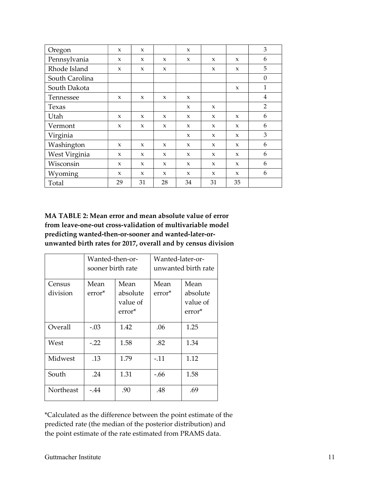| Oregon         | $\mathbf{x}$ | $\mathbf{x}$ |              | $\mathbf{x}$ |              |              | 3                |
|----------------|--------------|--------------|--------------|--------------|--------------|--------------|------------------|
| Pennsylvania   | $\mathbf{x}$ | $\mathbf{x}$ | X            | $\mathbf{x}$ | X            | $\mathbf{x}$ | 6                |
| Rhode Island   | $\mathbf{x}$ | X            | $\mathbf{x}$ |              | $\mathbf{x}$ | $\mathbf{x}$ | 5                |
| South Carolina |              |              |              |              |              |              | $\boldsymbol{0}$ |
| South Dakota   |              |              |              |              |              | $\mathbf x$  | $\mathbf{1}$     |
| Tennessee      | $\mathbf{x}$ | X            | $\mathbf{x}$ | $\mathbf{x}$ |              |              | $\overline{4}$   |
| Texas          |              |              |              | $\mathbf{x}$ | $\mathbf x$  |              | $\overline{2}$   |
| Utah           | $\mathbf{x}$ | X            | $\mathbf x$  | $\mathbf{x}$ | $\mathbf{x}$ | $\mathbf{x}$ | 6                |
| Vermont        | $\mathbf{x}$ | $\mathbf x$  | $\mathbf x$  | $\mathbf{x}$ | X            | $\mathbf x$  | 6                |
| Virginia       |              |              |              | $\mathbf{x}$ | X            | $\mathbf{x}$ | 3                |
| Washington     | $\mathbf{x}$ | X            | $\mathbf x$  | $\mathbf{x}$ | $\mathbf x$  | $\mathbf{x}$ | 6                |
| West Virginia  | $\mathbf{x}$ | $\mathbf{x}$ | $\mathbf x$  | $\mathbf{x}$ | $\mathbf x$  | $\mathbf{x}$ | 6                |
| Wisconsin      | $\mathbf{x}$ | X            | $\mathbf x$  | $\mathbf{x}$ | X            | $\mathbf{x}$ | 6                |
| Wyoming        | $\mathbf{x}$ | $\mathbf{x}$ | X            | $\mathbf{x}$ | $\mathbf{x}$ | $\mathbf{x}$ | 6                |
| Total          | 29           | 31           | 28           | 34           | 31           | 35           |                  |

# MA TABLE 2: Mean error and mean absolute value of error from leave-one-out cross-validation of multivariable model predicting wanted-then-or-sooner and wanted-later-orunwanted birth rates for 2017, overall and by census division

|           | Wanted-then-or-<br>sooner birth rate |                                | Wanted-later-or-<br>unwanted birth rate |                                |  |
|-----------|--------------------------------------|--------------------------------|-----------------------------------------|--------------------------------|--|
| Census    | Mean                                 | Mean                           | Mean                                    | Mean                           |  |
| division  | error <sup>*</sup>                   | absolute<br>value of<br>error* | error*                                  | absolute<br>value of<br>error* |  |
| Overall   | $-.03$                               | 1.42                           | .06                                     | 1.25                           |  |
|           |                                      |                                |                                         |                                |  |
| West      | $-.22$                               | 1.58                           | .82                                     | 1.34                           |  |
| Midwest   | .13                                  | 1.79                           | $-.11$                                  | 1.12                           |  |
| South     | .24                                  | 1.31                           | -.66                                    | 1.58                           |  |
| Northeast | $-44$                                | .90                            | .48                                     | .69                            |  |

\*Calculated as the difference between the point estimate of the predicted rate (the median of the posterior distribution) and the point estimate of the rate estimated from PRAMS data.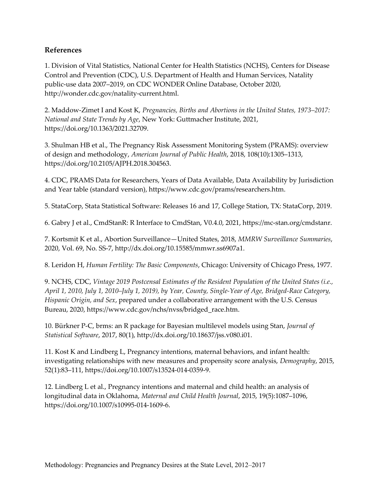#### References

1. Division of Vital Statistics, National Center for Health Statistics (NCHS), Centers for Disease Control and Prevention (CDC), U.S. Department of Health and Human Services, Natality public-use data 2007–2019, on CDC WONDER Online Database, October 2020, http://wonder.cdc.gov/natality-current.html.

2. Maddow-Zimet I and Kost K, Pregnancies, Births and Abortions in the United States, 1973–2017: National and State Trends by Age, New York: Guttmacher Institute, 2021, https://doi.org/10.1363/2021.32709.

3. Shulman HB et al., The Pregnancy Risk Assessment Monitoring System (PRAMS): overview of design and methodology, American Journal of Public Health, 2018, 108(10):1305–1313, https://doi.org/10.2105/AJPH.2018.304563.

4. CDC, PRAMS Data for Researchers, Years of Data Available, Data Availability by Jurisdiction and Year table (standard version), https://www.cdc.gov/prams/researchers.htm.

5. StataCorp, Stata Statistical Software: Releases 16 and 17, College Station, TX: StataCorp, 2019.

6. Gabry J et al., CmdStanR: R Interface to CmdStan, V0.4.0, 2021, https://mc-stan.org/cmdstanr.

7. Kortsmit K et al., Abortion Surveillance—United States, 2018, MMRW Surveillance Summaries, 2020, Vol. 69, No. SS-7, http://dx.doi.org/10.15585/mmwr.ss6907a1.

8. Leridon H, Human Fertility: The Basic Components, Chicago: University of Chicago Press, 1977.

9. NCHS, CDC, Vintage 2019 Postcensal Estimates of the Resident Population of the United States (i.e., April 1, 2010, July 1, 2010–July 1, 2019), by Year, County, Single-Year of Age, Bridged-Race Category, Hispanic Origin, and Sex, prepared under a collaborative arrangement with the U.S. Census Bureau, 2020, https://www.cdc.gov/nchs/nvss/bridged\_race.htm.

10. Bürkner P-C, brms: an R package for Bayesian multilevel models using Stan, Journal of Statistical Software, 2017, 80(1), http://dx.doi.org/10.18637/jss.v080.i01.

11. Kost K and Lindberg L, Pregnancy intentions, maternal behaviors, and infant health: investigating relationships with new measures and propensity score analysis, Demography, 2015, 52(1):83–111, https://doi.org/10.1007/s13524-014-0359-9.

12. Lindberg L et al., Pregnancy intentions and maternal and child health: an analysis of longitudinal data in Oklahoma, Maternal and Child Health Journal, 2015, 19(5):1087–1096, https://doi.org/10.1007/s10995-014-1609-6.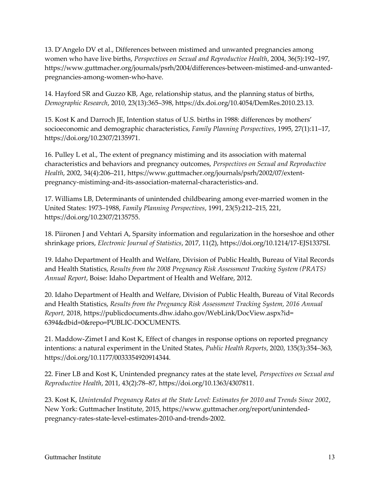13. D'Angelo DV et al., Differences between mistimed and unwanted pregnancies among women who have live births, Perspectives on Sexual and Reproductive Health, 2004, 36(5):192–197, https://www.guttmacher.org/journals/psrh/2004/differences-between-mistimed-and-unwantedpregnancies-among-women-who-have.

14. Hayford SR and Guzzo KB, Age, relationship status, and the planning status of births, Demographic Research, 2010, 23(13):365–398, https://dx.doi.org/10.4054/DemRes.2010.23.13.

15. Kost K and Darroch JE, Intention status of U.S. births in 1988: differences by mothers' socioeconomic and demographic characteristics, Family Planning Perspectives, 1995, 27(1):11–17, https://doi.org/10.2307/2135971.

16. Pulley L et al., The extent of pregnancy mistiming and its association with maternal characteristics and behaviors and pregnancy outcomes, Perspectives on Sexual and Reproductive Health, 2002, 34(4):206–211, https://www.guttmacher.org/journals/psrh/2002/07/extentpregnancy-mistiming-and-its-association-maternal-characteristics-and.

17. Williams LB, Determinants of unintended childbearing among ever-married women in the United States: 1973–1988, Family Planning Perspectives, 1991, 23(5):212–215, 221, https://doi.org/10.2307/2135755.

18. Piironen J and Vehtari A, Sparsity information and regularization in the horseshoe and other shrinkage priors, Electronic Journal of Statistics, 2017, 11(2), https://doi.org/10.1214/17-EJS1337SI.

19. Idaho Department of Health and Welfare, Division of Public Health, Bureau of Vital Records and Health Statistics, Results from the 2008 Pregnancy Risk Assessment Tracking System (PRATS) Annual Report, Boise: Idaho Department of Health and Welfare, 2012.

20. Idaho Department of Health and Welfare, Division of Public Health, Bureau of Vital Records and Health Statistics, Results from the Pregnancy Risk Assessment Tracking System, 2016 Annual Report, 2018, https://publicdocuments.dhw.idaho.gov/WebLink/DocView.aspx?id= 6394&dbid=0&repo=PUBLIC-DOCUMENTS.

21. Maddow-Zimet I and Kost K, Effect of changes in response options on reported pregnancy intentions: a natural experiment in the United States, Public Health Reports, 2020, 135(3):354–363, https://doi.org/10.1177/0033354920914344.

22. Finer LB and Kost K, Unintended pregnancy rates at the state level, Perspectives on Sexual and Reproductive Health, 2011, 43(2):78–87, https://doi.org/10.1363/4307811.

23. Kost K, Unintended Pregnancy Rates at the State Level: Estimates for 2010 and Trends Since 2002, New York: Guttmacher Institute, 2015, https://www.guttmacher.org/report/unintendedpregnancy-rates-state-level-estimates-2010-and-trends-2002.